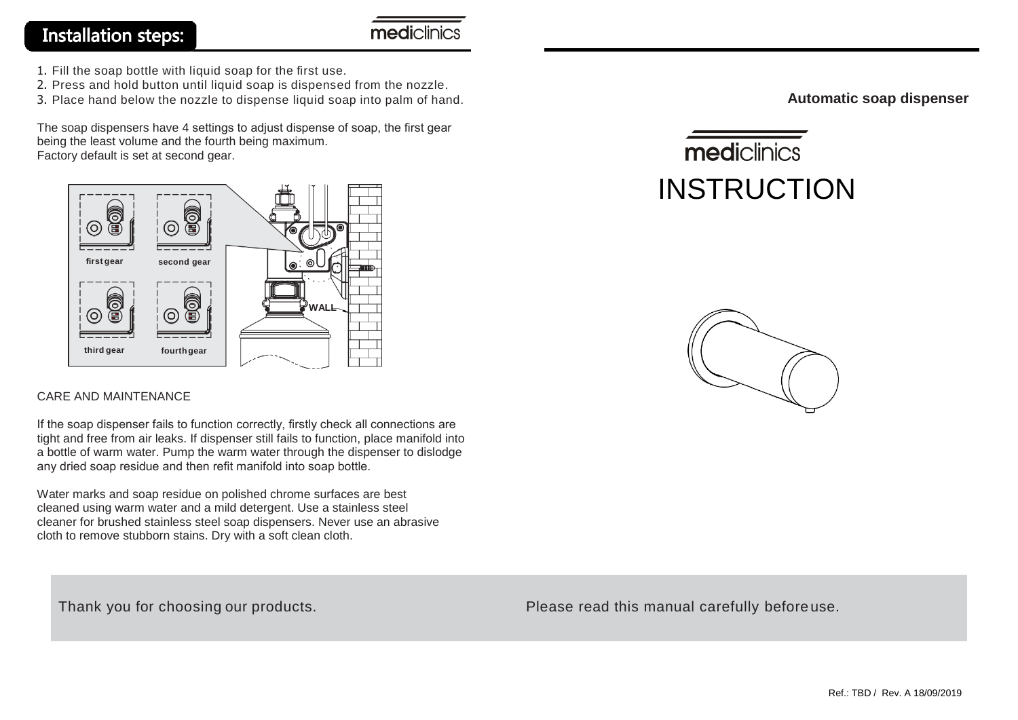#### **Installation steps:**

mediclinics

- 1. Fill the soap bottle with liquid soap for the first use.
- 2. Press and hold button until liquid soap is dispensed from the nozzle.
- 3. Place hand below the nozzle to dispense liquid soap into palm of hand.

The soap dispensers have 4 settings to adjust dispense of soap, the first gear being the least volume and the fourth being maximum. Factory default is set at second gear.



#### CARE AND MAINTENANCE

If the soap dispenser fails to function correctly, firstly check all connections are tight and free from air leaks. If dispenser still fails to function, place manifold into a bottle of warm water. Pump the warm water through the dispenser to dislodge any dried soap residue and then refit manifold into soap bottle.

Water marks and soap residue on polished chrome surfaces are best cleaned using warm water and a mild detergent. Use a stainless steel cleaner for brushed stainless steel soap dispensers. Never use an abrasive cloth to remove stubborn stains. Dry with a soft clean cloth.

**Automatic soap dispenser**

# mediclinics INSTRUCTION



Thank you for choosing our products. Thank you for choosing our products.